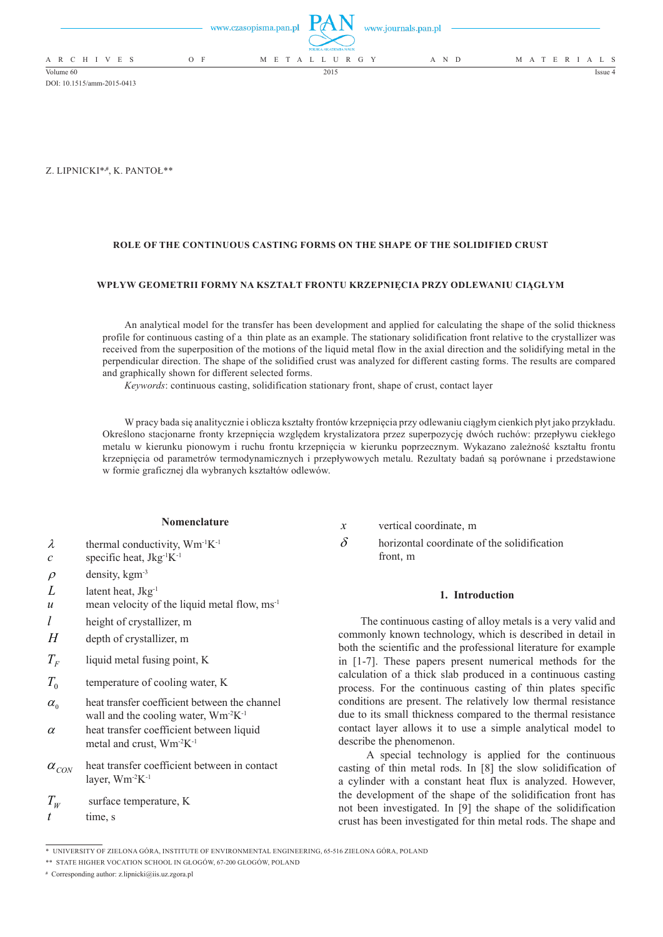|                          | www.czasopisma.pan.pl $\Box$ $($ $\Box$ $\Box$ $\Box$<br>POLSKA AKADEMIA NAUK | www.journals.pan.pl |                   |
|--------------------------|-------------------------------------------------------------------------------|---------------------|-------------------|
| A R C H I V E S<br>$O$ F | M E T A L L U R G Y                                                           | A N D               | M A T E R I A L S |
| Volume 60                | 2015                                                                          |                     | Issue 4           |

DOI: 10.1515/amm-2015-0413

Z. Lipnicki\***,#**, K. Pantoł\*\*

## **ROLE OF THE CONTINUOUS CASTING FORMS ON THE SHAPE OF THE SOLIDIFIED CRUST**

# **Wpływ geometrii formy na kształt frontu krzepnięcia przy odlewaniu ciągłym**

An analytical model for the transfer has been development and applied for calculating the shape of the solid thickness profile for continuous casting of a thin plate as an example. The stationary solidification front relative to the crystallizer was received from the superposition of the motions of the liquid metal flow in the axial direction and the solidifying metal in the perpendicular direction. The shape of the solidified crust was analyzed for different casting forms. The results are compared and graphically shown for different selected forms.

*Keywords*: continuous casting, solidification stationary front, shape of crust, contact layer

W pracy bada się analitycznie i oblicza kształty frontów krzepnięcia przy odlewaniu ciągłym cienkich płyt jako przykładu. Określono stacjonarne fronty krzepnięcia względem krystalizatora przez superpozycję dwóch ruchów: przepływu ciekłego metalu w kierunku pionowym i ruchu frontu krzepnięcia w kierunku poprzecznym. Wykazano zależność kształtu frontu krzepnięcia od parametrów termodynamicznych i przepływowych metalu. Rezultaty badań są porównane i przedstawione w formie graficznej dla wybranych kształtów odlewów.

#### **Nomenclature**

- $\lambda$  thermal conductivity, Wm<sup>-1</sup>K<sup>-1</sup>
- $c$  specific heat, Jkg<sup>-1</sup>K<sup>-1</sup>
- $\rho$  density, kgm<sup>-3</sup>
- *L* latent heat, Jkg-1
- $u$  mean velocity of the liquid metal flow, ms<sup>-1</sup>
- *l* height of crystallizer, m
- *H* depth of crystallizer, m
- $T_F$  liquid metal fusing point, K
- $T_0$  temperature of cooling water, K
- $\alpha_{0}$  heat transfer coefficient between the channel wall and the cooling water,  $Wm^2K^{-1}$
- $\alpha$  heat transfer coefficient between liquid metal and crust, Wm-2K-1
- $\alpha_{CON}$  heat transfer coefficient between in contact layer, Wm-2K-1
- $T_w$  surface temperature, K
- *t* time, s
- *x* vertical coordinate, m
- $\delta$  horizontal coordinate of the solidification front, m

### **1. Introduction**

The continuous casting of alloy metals is a very valid and commonly known technology, which is described in detail in both the scientific and the professional literature for example in [1-7]. These papers present numerical methods for the calculation of a thick slab produced in a continuous casting process. For the continuous casting of thin plates specific conditions are present. The relatively low thermal resistance due to its small thickness compared to the thermal resistance contact layer allows it to use a simple analytical model to describe the phenomenon.

 A special technology is applied for the continuous casting of thin metal rods. In [8] the slow solidification of a cylinder with a constant heat flux is analyzed. However, the development of the shape of the solidification front has not been investigated. In [9] the shape of the solidification crust has been investigated for thin metal rods. The shape and

<sup>\*</sup> UNIVERSITY OF ZIELONA GÓRA, INSTITUTE OF ENVIRONMENTAL ENGINEERING, 65-516 ZIELONA GÓRA, POLAND

<sup>\*\*</sup> STATE HIGHER VOCATION SCHOOL IN GŁOGÓW, 67-200 GŁOGÓW, POLAND

**<sup>#</sup>** Corresponding author: z.lipnicki@iis.uz.zgora.pl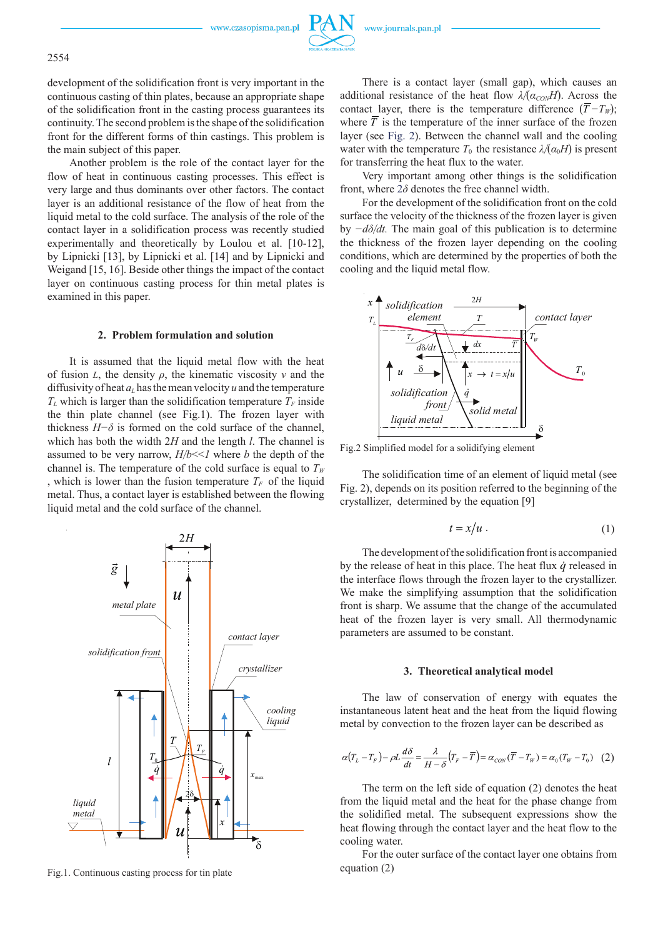www.czasopisma.pan.pl



development of the solidification front is very important in the continuous casting of thin plates, because an appropriate shape of the solidification front in the casting process guarantees its continuity. The second problem is the shape of the solidification front for the different forms of thin castings. This problem is the main subject of this paper.

Another problem is the role of the contact layer for the flow of heat in continuous casting processes. This effect is very large and thus dominants over other factors. The contact layer is an additional resistance of the flow of heat from the liquid metal to the cold surface. The analysis of the role of the contact layer in a solidification process was recently studied experimentally and theoretically by Loulou et al. [10-12], by Lipnicki [13], by Lipnicki et al. [14] and by Lipnicki and Weigand [15, 16]. Beside other things the impact of the contact layer on continuous casting process for thin metal plates is examined in this paper.

# **2. Problem formulation and solution**

It is assumed that the liquid metal flow with the heat of fusion *L*, the density *ρ*, the kinematic viscosity *ν* and the diffusivity of heat  $a<sub>L</sub>$  has the mean velocity  $u$  and the temperature  $T_L$  which is larger than the solidification temperature  $T_F$  inside the thin plate channel (see Fig.1). The frozen layer with thickness  $H-\delta$  is formed on the cold surface of the channel, which has both the width 2*H* and the length *l*. The channel is assumed to be very narrow, *H/b*<<*1* where *b* the depth of the channel is. The temperature of the cold surface is equal to  $T_W$ , which is lower than the fusion temperature  $T_F$  of the liquid metal. Thus, a contact layer is established between the flowing liquid metal and the cold surface of the channel.



Fig.1. Continuous casting process for tin plate

There is a contact layer (small gap), which causes an additional resistance of the heat flow  $\lambda/(\alpha_{\text{CON}}H)$ . Across the contact layer, there is the temperature difference  $(T - T_W)$ ; where  $\overline{T}$  is the temperature of the inner surface of the frozen layer (see Fig. 2). Between the channel wall and the cooling water with the temperature  $T_0$  the resistance  $\lambda/(\alpha_0 H)$  is present for transferring the heat flux to the water.

Very important among other things is the solidification front, where  $2\delta$  denotes the free channel width.

For the development of the solidification front on the cold surface the velocity of the thickness of the frozen layer is given by *−dδ/dt.* The main goal of this publication is to determine the thickness of the frozen layer depending on the cooling conditions, which are determined by the properties of both the cooling and the liquid metal flow.



Fig.2 Simplified model for a solidifying element

The solidification time of an element of liquid metal (see Fig. 2), depends on its position referred to the beginning of the crystallizer, determined by the equation [9]

$$
t = x/u \tag{1}
$$

The development of the solidification front is accompanied by the release of heat in this place. The heat flux  $\dot{q}$  released in the interface flows through the frozen layer to the crystallizer. We make the simplifying assumption that the solidification front is sharp. We assume that the change of the accumulated heat of the frozen layer is very small. All thermodynamic parameters are assumed to be constant.

### **3. Theoretical analytical model**

The law of conservation of energy with equates the instantaneous latent heat and the heat from the liquid flowing metal by convection to the frozen layer can be described as

$$
\alpha (T_L - T_F) - \rho L \frac{d\delta}{dt} = \frac{\lambda}{H - \delta} (T_F - \overline{T}) = \alpha_{\text{CON}} (\overline{T} - T_W) = \alpha_0 (T_W - T_0) \quad (2)
$$

The term on the left side of equation (2) denotes the heat from the liquid metal and the heat for the phase change from the solidified metal. The subsequent expressions show the heat flowing through the contact layer and the heat flow to the cooling water.

For the outer surface of the contact layer one obtains from equation (2)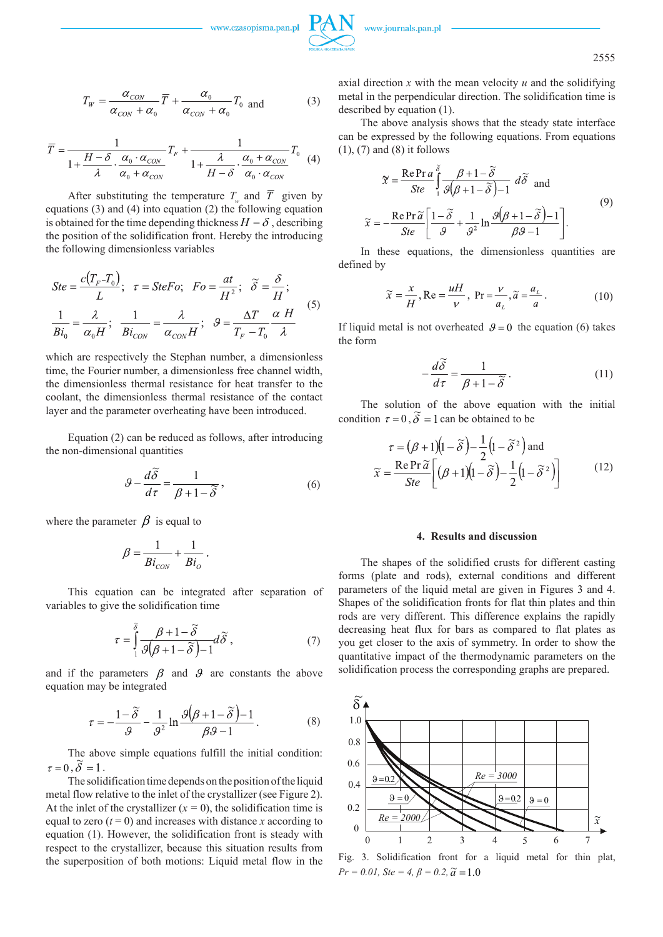www.czasopisma.pan.pl

2555

$$
T_W = \frac{\alpha_{CON}}{\alpha_{CON} + \alpha_0} \overline{T} + \frac{\alpha_0}{\alpha_{CON} + \alpha_0} T_0 \text{ and } (3)
$$

$$
\overline{T} = \frac{1}{1 + \frac{H - \delta}{\lambda} \cdot \frac{\alpha_0 \cdot \alpha_{CON}}{\alpha_0 + \alpha_{CON}}} T_F + \frac{1}{1 + \frac{\lambda}{H - \delta} \cdot \frac{\alpha_0 + \alpha_{CON}}{\alpha_0 \cdot \alpha_{CON}}} T_0
$$
(4)

After substituting the temperature  $T_{\mu}$  and  $\overline{T}$  given by equations (3) and (4) into equation (2) the following equation is obtained for the time depending thickness  $H - \delta$ , describing the position of the solidification front. Hereby the introducing the following dimensionless variables

$$
Ste = \frac{c(T_F - T_0)}{L}; \quad \tau = SteFo; \quad Fo = \frac{at}{H^2}; \quad \tilde{\delta} = \frac{\delta}{H};
$$
\n
$$
\frac{1}{Bi_0} = \frac{\lambda}{\alpha_0 H}; \quad \frac{1}{Bi_{CON}} = \frac{\lambda}{\alpha_{CON} H}; \quad \vartheta = \frac{\Delta T}{T_F - T_0} \frac{\alpha H}{\lambda}
$$
\n(5)

which are respectively the Stephan number, a dimensionless time, the Fourier number, a dimensionless free channel width, the dimensionless thermal resistance for heat transfer to the coolant, the dimensionless thermal resistance of the contact layer and the parameter overheating have been introduced.

Equation (2) can be reduced as follows, after introducing the non-dimensional quantities

$$
\mathcal{G} - \frac{d\widetilde{\delta}}{d\tau} = \frac{1}{\beta + 1 - \widetilde{\delta}},\tag{6}
$$

where the parameter  $\beta$  is equal to

$$
\beta = \frac{1}{Bi_{\rm{CON}}} + \frac{1}{Bi_{\rm{o}}}\,.
$$

This equation can be integrated after separation of variables to give the solidification time

$$
\tau = \int_{1}^{\tilde{\delta}} \frac{\beta + 1 - \tilde{\delta}}{\beta(\beta + 1 - \tilde{\delta}) - 1} d\tilde{\delta} , \qquad (7)
$$

and if the parameters  $\beta$  and  $\beta$  are constants the above equation may be integrated

$$
\tau = -\frac{1-\tilde{\delta}}{g} - \frac{1}{g^2} \ln \frac{\mathcal{G}(\beta+1-\tilde{\delta})-1}{\beta \beta - 1}.
$$
 (8)

The above simple equations fulfill the initial condition:  $\tau = 0$ ,  $\widetilde{\delta} = 1$ .

The solidification time depends on the position of the liquid metal flow relative to the inlet of the crystallizer (see Figure 2). At the inlet of the crystallizer  $(x = 0)$ , the solidification time is equal to zero  $(t = 0)$  and increases with distance *x* according to equation (1). However, the solidification front is steady with respect to the crystallizer, because this situation results from the superposition of both motions: Liquid metal flow in the axial direction  $x$  with the mean velocity  $u$  and the solidifying metal in the perpendicular direction. The solidification time is described by equation (1).

The above analysis shows that the steady state interface can be expressed by the following equations. From equations (1), (7) and (8) it follows

$$
\mathfrak{X} = \frac{\text{Re} \, \text{Pr} \, a}{\text{Ste}} \int_{1}^{\delta} \frac{\beta + 1 - \widetilde{\delta}}{\beta(\beta + 1 - \widetilde{\delta}) - 1} \, d\widetilde{\delta} \quad \text{and}
$$
\n
$$
\widetilde{x} = -\frac{\text{Re} \, \text{Pr} \, \widetilde{a}}{\text{Ste}} \left[ \frac{1 - \widetilde{\delta}}{\beta} + \frac{1}{\beta^2} \ln \frac{\beta(\beta + 1 - \widetilde{\delta}) - 1}{\beta \beta - 1} \right]. \tag{9}
$$

In these equations, the dimensionless quantities are defined by

$$
\widetilde{x} = \frac{x}{H}, \text{Re} = \frac{uH}{v}, \text{ Pr} = \frac{v}{a_L}, \widetilde{a} = \frac{a_L}{a}.
$$
 (10)

If liquid metal is not overheated  $\theta = 0$  the equation (6) takes the form

$$
-\frac{d\widetilde{\delta}}{d\tau} = \frac{1}{\beta + 1 - \widetilde{\delta}}.
$$
 (11)

The solution of the above equation with the initial condition  $\tau = 0$ ,  $\tilde{\delta} = 1$  can be obtained to be

$$
\tau = (\beta + 1)(1 - \tilde{\delta}) - \frac{1}{2}(1 - \tilde{\delta}^2) \text{ and}
$$

$$
\tilde{\kappa} = \frac{\text{Re } \text{Pr } \tilde{a}}{Ste} \bigg[ (\beta + 1)(1 - \tilde{\delta}) - \frac{1}{2}(1 - \tilde{\delta}^2) \bigg] \tag{12}
$$

#### **4. Results and discussion**

The shapes of the solidified crusts for different casting forms (plate and rods), external conditions and different parameters of the liquid metal are given in Figures 3 and 4. Shapes of the solidification fronts for flat thin plates and thin rods are very different. This difference explains the rapidly decreasing heat flux for bars as compared to flat plates as you get closer to the axis of symmetry. In order to show the quantitative impact of the thermodynamic parameters on the solidification process the corresponding graphs are prepared.



 $Pr = 0.01$ ,  $Ste = 4$ ,  $\beta = 0.2$ ,  $\tilde{a} = 1.0$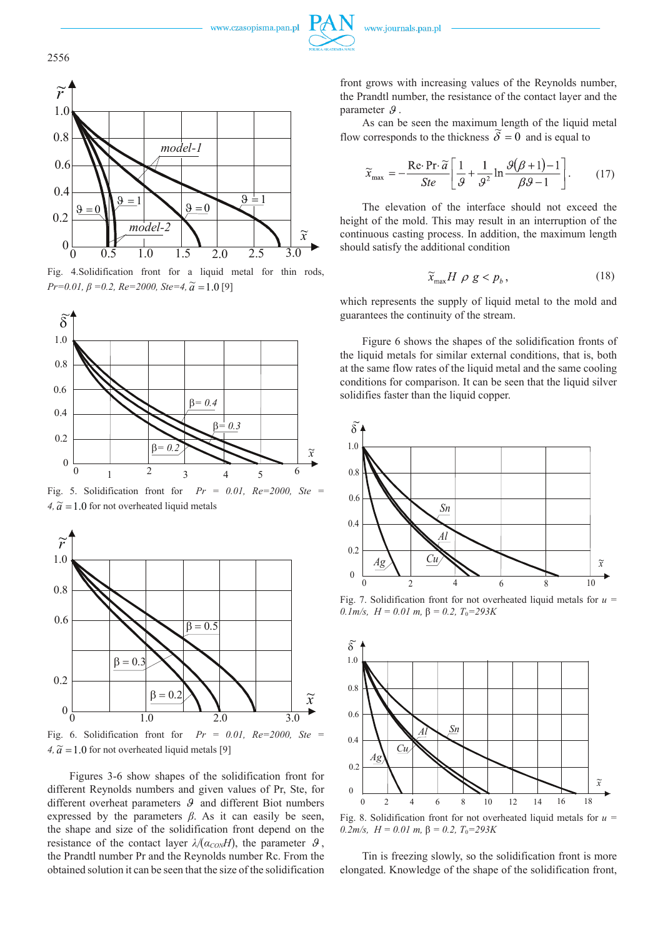



Fig. 4.Solidification front for a liquid metal for thin rods, *Pr*=0.01,  $\beta$  =0.2,  $Re=2000$ ,  $Ste=4$ ,  $\tilde{a} = 1.0$  [9]



Fig. 5. Solidification front for *Pr = 0.01, Re=2000, Ste =* 4,  $\tilde{a} = 1.0$  for not overheated liquid metals



Fig. 6. Solidification front for  $Pr = 0.01$ ,  $Re=2000$ , Ste  $4, \tilde{a} = 1.0$  for not overheated liquid metals [9]

Figures 3-6 show shapes of the solidification front for different Reynolds numbers and given values of Pr, Ste, for different overheat parameters  $\mathcal{G}$  and different Biot numbers expressed by the parameters  $\beta$ . As it can easily be seen, the shape and size of the solidification front depend on the resistance of the contact layer  $\lambda/(\alpha_{\text{CON}}H)$ , the parameter  $\theta$ , the Prandtl number Pr and the Reynolds number Rc. From the obtained solution it can be seen that the size of the solidification front grows with increasing values of the Reynolds number, the Prandtl number, the resistance of the contact layer and the parameter  $\mathcal{G}$ .

As can be seen the maximum length of the liquid metal flow corresponds to the thickness  $\tilde{\delta} = 0$  and is equal to

$$
\widetilde{x}_{\text{max}} = -\frac{\text{Re}\cdot\text{Pr}\cdot\widetilde{a}}{Ste} \left[ \frac{1}{\mathcal{G}} + \frac{1}{\mathcal{G}^2} \ln \frac{\mathcal{G}(\mathcal{B}+1)-1}{\mathcal{B}\mathcal{G}-1} \right].
$$
 (17)

The elevation of the interface should not exceed the height of the mold. This may result in an interruption of the continuous casting process. In addition, the maximum length should satisfy the additional condition

$$
\widetilde{x}_{\text{max}} H \, \rho \, g < p_b \,, \tag{18}
$$

which represents the supply of liquid metal to the mold and guarantees the continuity of the stream.

Figure 6 shows the shapes of the solidification fronts of the liquid metals for similar external conditions, that is, both at the same flow rates of the liquid metal and the same cooling conditions for comparison. It can be seen that the liquid silver solidifies faster than the liquid copper.



Fig. 7. Solidification front for not overheated liquid metals for  $u =$  $0.1 \text{m/s}, H = 0.01 \text{ m}, \beta = 0.2, T_0 = 293 \text{K}$ 



 $0.2m/s$ ,  $H = 0.01 m$ ,  $\beta = 0.2$ ,  $T_0 = 293K$ 

Tin is freezing slowly, so the solidification front is more elongated. Knowledge of the shape of the solidification front,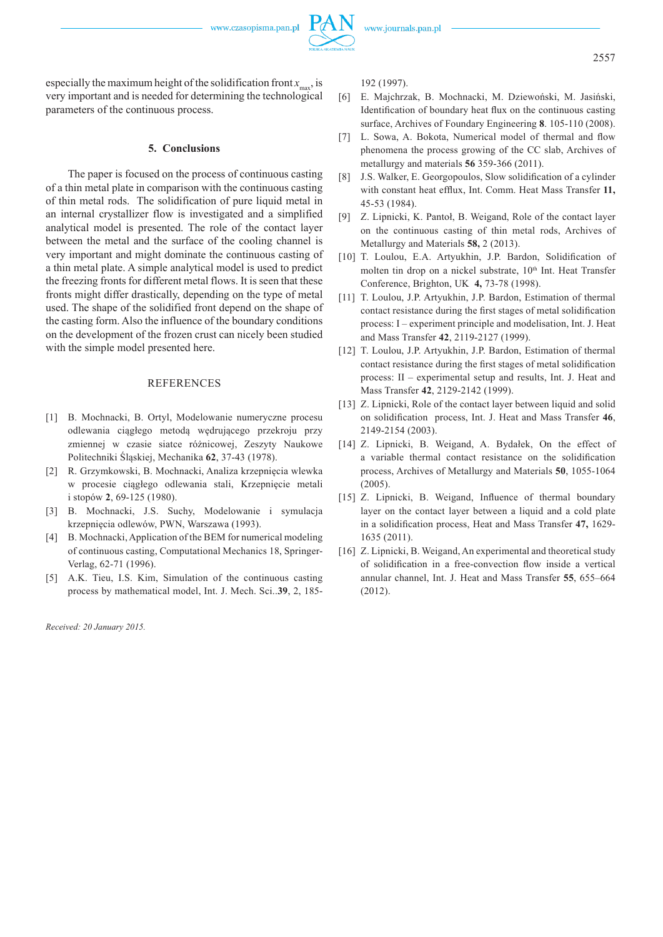www.czasopisma.pan.pl

especially the maximum height of the solidification front  $x_{\text{max}}$ , is very important and is needed for determining the technological parameters of the continuous process.

## **5. Conclusions**

The paper is focused on the process of continuous casting of a thin metal plate in comparison with the continuous casting of thin metal rods. The solidification of pure liquid metal in an internal crystallizer flow is investigated and a simplified analytical model is presented. The role of the contact layer between the metal and the surface of the cooling channel is very important and might dominate the continuous casting of a thin metal plate. A simple analytical model is used to predict the freezing fronts for different metal flows. It is seen that these fronts might differ drastically, depending on the type of metal used. The shape of the solidified front depend on the shape of the casting form. Also the influence of the boundary conditions on the development of the frozen crust can nicely been studied with the simple model presented here.

## REFERENCES

- [1] B. Mochnacki, B. Ortyl, Modelowanie numeryczne procesu odlewania ciągłego metodą wędrującego przekroju przy zmiennej w czasie siatce różnicowej, Zeszyty Naukowe Politechniki Śląskiej, Mechanika **62**, 37-43 (1978).
- [2] R. Grzymkowski, B. Mochnacki, Analiza krzepnięcia wlewka w procesie ciągłego odlewania stali, Krzepnięcie metali i stopów **2**, 69-125 (1980).
- [3] B. Mochnacki, J.S. Suchy, Modelowanie i symulacja krzepnięcia odlewów, PWN, Warszawa (1993).
- [4] B. Mochnacki, Application of the BEM for numerical modeling of continuous casting, Computational Mechanics 18, Springer-Verlag, 62-71 (1996).
- [5] A.K. Tieu, I.S. Kim, Simulation of the continuous casting process by mathematical model, Int. J. Mech. Sci..**39**, 2, 185-

*Received: 20 January 2015.*

192 (1997).

- [6] E. Majchrzak, B. Mochnacki, M. Dziewoński, M. Jasiński, Identification of boundary heat flux on the continuous casting surface, Archives of Foundary Engineering **8**. 105-110 (2008).
- [7] L. Sowa, A. Bokota, Numerical model of thermal and flow phenomena the process growing of the CC slab, Archives of metallurgy and materials **56** 359-366 (2011).
- [8] J.S. Walker, E. Georgopoulos, Slow solidification of a cylinder with constant heat efflux, Int. Comm. Heat Mass Transfer **11,** 45-53 (1984).
- [9] Z. Lipnicki, K. Pantoł, B. Weigand, Role of the contact layer on the continuous casting of thin metal rods, Archives of Metallurgy and Materials **58,** 2 (2013).
- [10] T. Loulou, E.A. Artyukhin, J.P. Bardon, Solidification of molten tin drop on a nickel substrate, 10<sup>th</sup> Int. Heat Transfer Conference, Brighton, UK **4,** 73-78 (1998).
- [11] T. Loulou, J.P. Artyukhin, J.P. Bardon, Estimation of thermal contact resistance during the first stages of metal solidification process: I – experiment principle and modelisation, Int. J. Heat and Mass Transfer **42**, 2119-2127 (1999).
- [12] T. Loulou, J.P. Artyukhin, J.P. Bardon, Estimation of thermal contact resistance during the first stages of metal solidification process: II – experimental setup and results, Int. J. Heat and Mass Transfer **42**, 2129-2142 (1999).
- [13] Z. Lipnicki, Role of the contact layer between liquid and solid on solidification process, Int. J. Heat and Mass Transfer **46**, 2149-2154 (2003).
- [14] Z. Lipnicki, B. Weigand, A. Bydałek, On the effect of a variable thermal contact resistance on the solidification process, Archives of Metallurgy and Materials **50**, 1055-1064 (2005).
- [15] Z. Lipnicki, B. Weigand, Influence of thermal boundary layer on the contact layer between a liquid and a cold plate in a solidification process, Heat and Mass Transfer **47,** 1629- 1635 (2011).
- [16] Z. Lipnicki, B. Weigand, An experimental and theoretical study of solidification in a free-convection flow inside a vertical annular channel, Int. J. Heat and Mass Transfer **55**, 655–664 (2012).